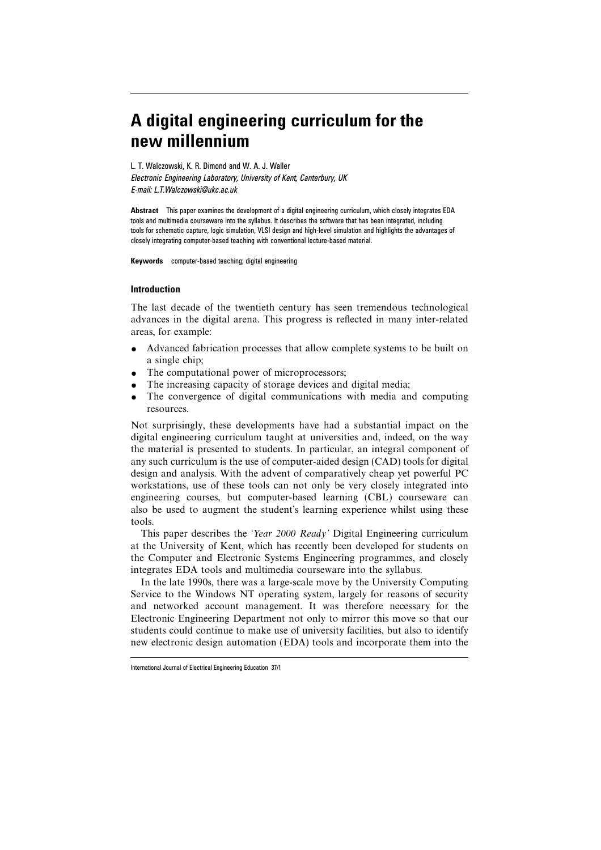# **A digital engineering curriculum for the new millennium**

L. T. Walczowski, K. R. Dimond and W. A. J. Waller

Electronic Engineering Laboratory, University of Kent, Canterbury, UK E-mail: L.T.Walczowski@ukc.ac.uk

**Abstract** This paper examines the development of a digital engineering curriculum, which closely integrates EDA tools and multimedia courseware into the syllabus. It describes the software that has been integrated, including tools for schematic capture, logic simulation, VLSI design and high-level simulation and highlights the advantages of closely integrating computer-based teaching with conventional lecture-based material.

**Keywords** computer-based teaching; digital engineering

### **Introduction**

The last decade of the twentieth century has seen tremendous technological advances in the digital arena. This progress is reflected in many inter-related areas, for example:

- Advanced fabrication processes that allow complete systems to be built on a single chip;
- The computational power of microprocessors;
- The increasing capacity of storage devices and digital media;
- The convergence of digital communications with media and computing resources.

Not surprisingly, these developments have had a substantial impact on the digital engineering curriculum taught at universities and, indeed, on the way the material is presented to students. In particular, an integral component of any such curriculum is the use of computer-aided design (CAD) tools for digital design and analysis. With the advent of comparatively cheap yet powerful PC workstations, use of these tools can not only be very closely integrated into engineering courses, but computer-based learning (CBL) courseware can also be used to augment the student's learning experience whilst using these tools.

This paper describes the 'Year 2000 Ready' Digital Engineering curriculum at the University of Kent, which has recently been developed for students on the Computer and Electronic Systems Engineering programmes, and closely integrates EDA tools and multimedia courseware into the syllabus.

In the late 1990s, there was a large-scale move by the University Computing Service to the Windows NT operating system, largely for reasons of security and networked account management. It was therefore necessary for the Electronic Engineering Department not only to mirror this move so that our students could continue to make use of university facilities, but also to identify new electronic design automation (EDA) tools and incorporate them into the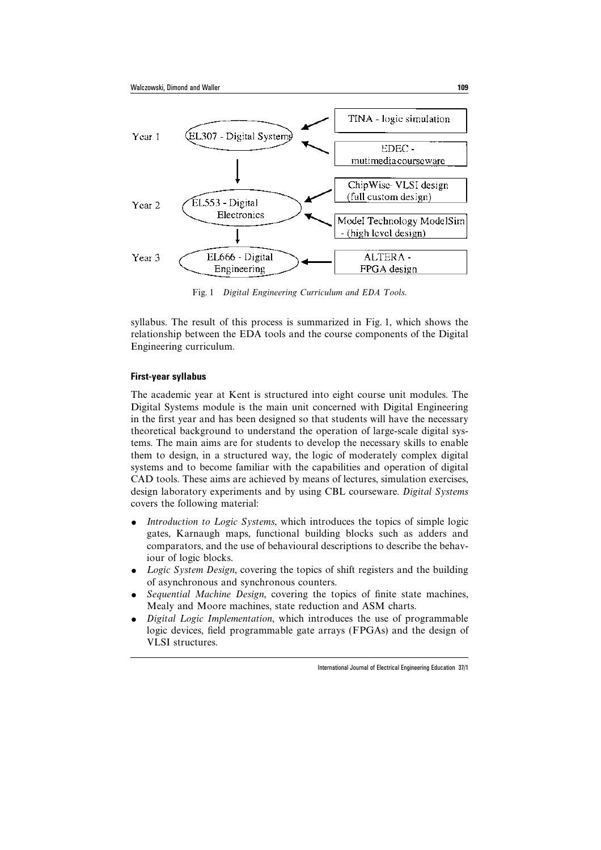

Fig. 1 Digital Engineering Curriculum and EDA Tools.

syllabus. The result of this process is summarized in Fig. 1, which shows the relationship between the EDA tools and the course components of the Digital Engineering curriculum.

### **First-year syllabus**

The academic year at Kent is structured into eight course unit modules. The Digital Systems module is the main unit concerned with Digital Engineering in the first year and has been designed so that students will have the necessary theoretical background to understand the operation of large-scale digital systems. The main aims are for students to develop the necessary skills to enable them to design, in a structured way, the logic of moderately complex digital systems and to become familiar with the capabilities and operation of digital CAD tools. These aims are achieved by means of lectures, simulation exercises, design laboratory experiments and by using CBL courseware. Digital Systems covers the following material:

- Introduction to Logic Systems, which introduces the topics of simple logic gates, Karnaugh maps, functional building blocks such as adders and comparators, and the use of behavioural descriptions to describe the behaviour of logic blocks.
- Logic System Design, covering the topics of shift registers and the building of asynchronous and synchronous counters.
- Sequential Machine Design, covering the topics of finite state machines, Mealy and Moore machines, state reduction and ASM charts.
- Digital Logic Implementation, which introduces the use of programmable logic devices, field programmable gate arrays (FPGAs) and the design of VLSI structures.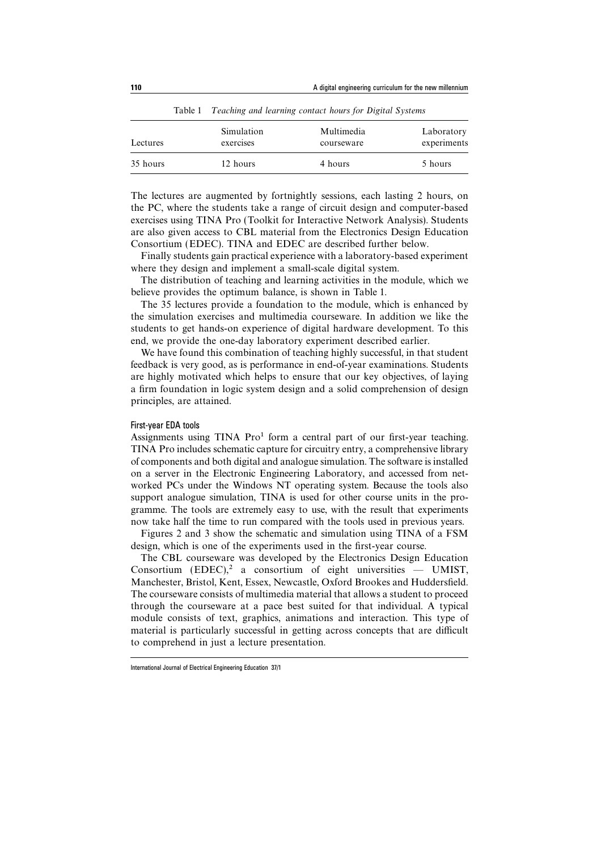|          | Table 1 <i>Leaching and learning contact nours for Digital Systems</i> |                          |                           |
|----------|------------------------------------------------------------------------|--------------------------|---------------------------|
| Lectures | Simulation<br>exercises                                                | Multimedia<br>courseware | Laboratory<br>experiments |
| 35 hours | 12 hours                                                               | 4 hours                  | 5 hours                   |

Table 1 T eaching and learning contact hours for Digital Systems

The lectures are augmented by fortnightly sessions, each lasting 2 hours, on the PC, where the students take a range of circuit design and computer-based exercises using TINA Pro (Toolkit for Interactive Network Analysis). Students are also given access to CBL material from the Electronics Design Education Consortium (EDEC). TINA and EDEC are described further below.

Finally students gain practical experience with a laboratory-based experiment where they design and implement a small-scale digital system.

The distribution of teaching and learning activities in the module, which we believe provides the optimum balance, is shown in Table 1.

The 35 lectures provide a foundation to the module, which is enhanced by the simulation exercises and multimedia courseware. In addition we like the students to get hands-on experience of digital hardware development. To this end, we provide the one-day laboratory experiment described earlier.

We have found this combination of teaching highly successful, in that student feedback is very good, as is performance in end-of-year examinations. Students are highly motivated which helps to ensure that our key objectives, of laying a firm foundation in logic system design and a solid comprehension of design principles, are attained.

#### First-year EDA tools

Assignments using TINA  $Pro<sup>1</sup>$  form a central part of our first-year teaching. TINA Pro includes schematic capture for circuitry entry, a comprehensive library of components and both digital and analogue simulation. The software is installed on a server in the Electronic Engineering Laboratory, and accessed from networked PCs under the Windows NT operating system. Because the tools also support analogue simulation, TINA is used for other course units in the programme. The tools are extremely easy to use, with the result that experiments now take half the time to run compared with the tools used in previous years.

Figures 2 and 3 show the schematic and simulation using TINA of a FSM design, which is one of the experiments used in the first-year course.

The CBL courseware was developed by the Electronics Design Education Consortium  $(EDEC)$ ,<sup>2</sup> a consortium of eight universities  $-$  UMIST, Manchester, Bristol, Kent, Essex, Newcastle, Oxford Brookes and Huddersfield. The courseware consists of multimedia material that allows a student to proceed through the courseware at a pace best suited for that individual. A typical module consists of text, graphics, animations and interaction. This type of material is particularly successful in getting across concepts that are difficult to comprehend in just a lecture presentation.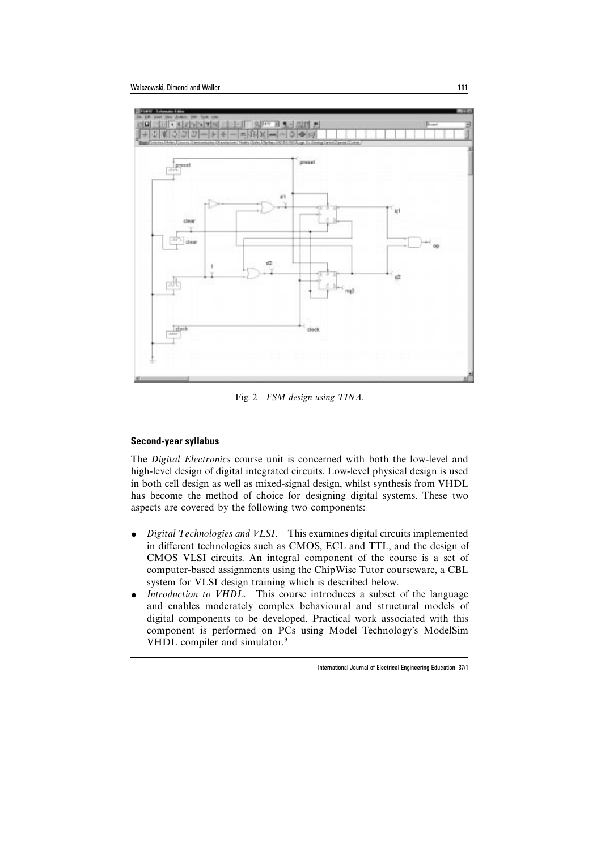

Fig. 2 FSM design using TINA.

## **Second-year syllabus**

The Digital Electronics course unit is concerned with both the low-level and high-level design of digital integrated circuits. Low-level physical design is used in both cell design as well as mixed-signal design, whilst synthesis from VHDL has become the method of choice for designing digital systems. These two aspects are covered by the following two components:

- Digital Technologies and VLSI. This examines digital circuits implemented in different technologies such as CMOS, ECL and TTL, and the design of CMOS VLSI circuits. An integral component of the course is a set of computer-based assignments using the ChipWise Tutor courseware, a CBL system for VLSI design training which is described below.
- Introduction to VHDL. This course introduces a subset of the language and enables moderately complex behavioural and structural models of digital components to be developed. Practical work associated with this component is performed on PCs using Model Technology's ModelSim VHDL compiler and simulator.<sup>3</sup>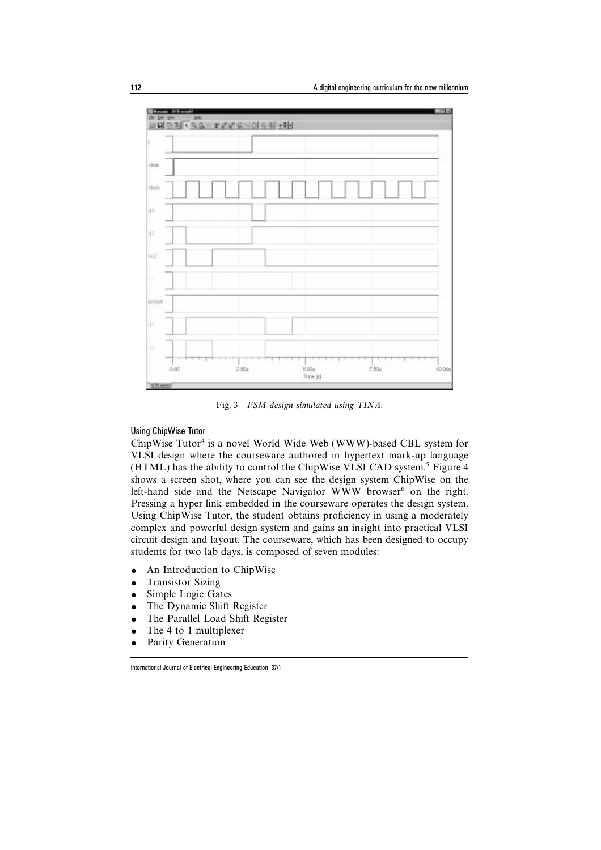

Fig. 3 FSM design simulated using TINA.

## Using ChipWise Tutor

ChipWise Tutor<sup>4</sup> is a novel World Wide Web (WWW)-based CBL system for VLSI design where the courseware authored in hypertext mark-up language (HTML) has the ability to control the ChipWise VLSI CAD system.<sup>5</sup> Figure 4 shows a screen shot, where you can see the design system ChipWise on the left-hand side and the Netscape Navigator WWW browser<sup>6</sup> on the right. Pressing a hyper link embedded in the courseware operates the design system. Using ChipWise Tutor, the student obtains proficiency in using a moderately complex and powerful design system and gains an insight into practical VLSI circuit design and layout. The courseware, which has been designed to occupy students for two lab days, is composed of seven modules:

- $\bullet$  An Introduction to ChipWise
- Transistor Sizing
- Simple Logic Gates
- The Dynamic Shift Register
- The Parallel Load Shift Register
- The 4 to 1 multiplexer
- Parity Generation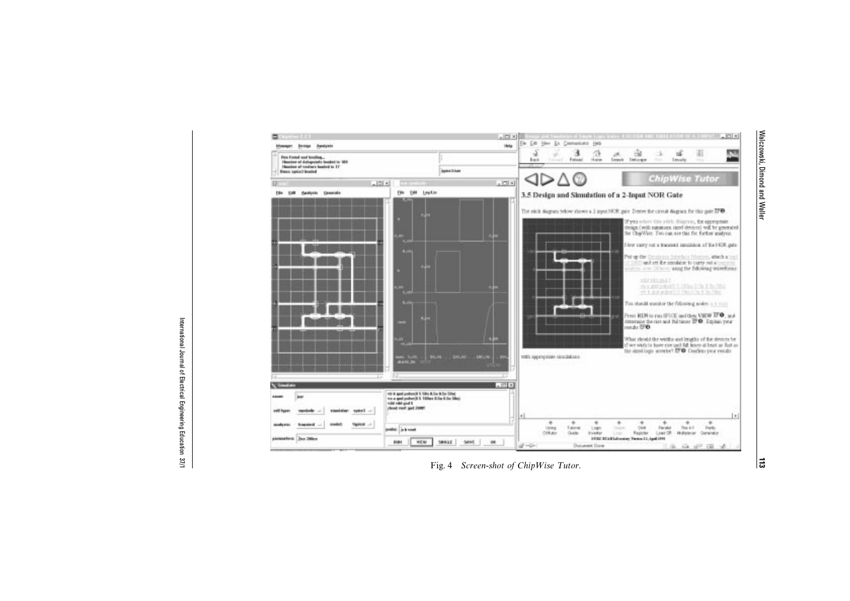

International Journal of Electrical Engineering Education 37/1

37/1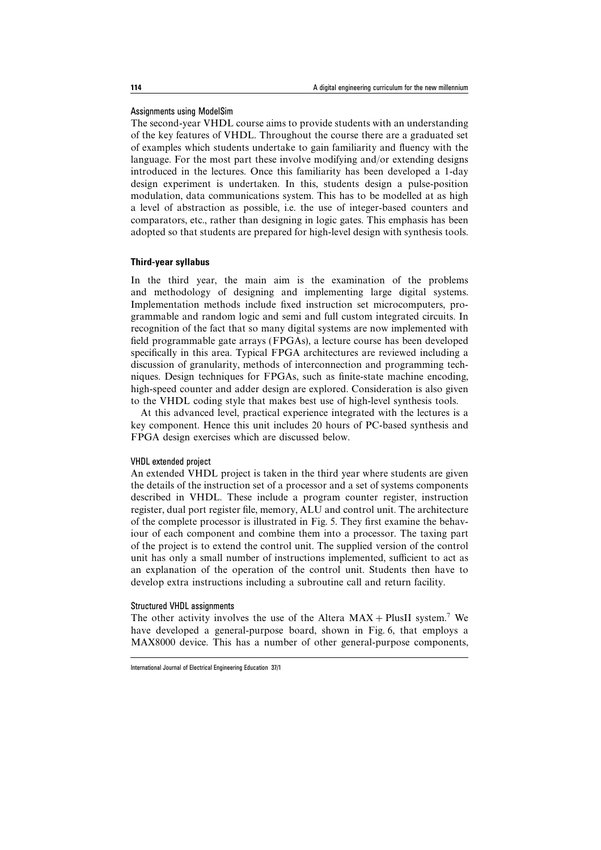### Assignments using ModelSim

The second-year VHDL course aims to provide students with an understanding of the key features of VHDL. Throughout the course there are a graduated set of examples which students undertake to gain familiarity and fluency with the language. For the most part these involve modifying and/or extending designs introduced in the lectures. Once this familiarity has been developed a 1-day design experiment is undertaken. In this, students design a pulse-position modulation, data communications system. This has to be modelled at as high a level of abstraction as possible, i.e. the use of integer-based counters and comparators, etc., rather than designing in logic gates. This emphasis has been adopted so that students are prepared for high-level design with synthesis tools.

## **Third-year syllabus**

In the third year, the main aim is the examination of the problems and methodology of designing and implementing large digital systems. Implementation methods include fixed instruction set microcomputers, programmable and random logic and semi and full custom integrated circuits. In recognition of the fact that so many digital systems are now implemented with field programmable gate arrays (FPGAs), a lecture course has been developed specifically in this area. Typical FPGA architectures are reviewed including a discussion of granularity, methods of interconnection and programming techniques. Design techniques for FPGAs, such as finite-state machine encoding, high-speed counter and adder design are explored. Consideration is also given to the VHDL coding style that makes best use of high-level synthesis tools.

At this advanced level, practical experience integrated with the lectures is a key component. Hence this unit includes 20 hours of PC-based synthesis and FPGA design exercises which are discussed below.

#### VHDL extended project

An extended VHDL project is taken in the third year where students are given the details of the instruction set of a processor and a set of systems components described in VHDL. These include a program counter register, instruction register, dual port register file, memory, ALU and control unit. The architecture of the complete processor is illustrated in Fig. 5. They first examine the behaviour of each component and combine them into a processor. The taxing part of the project is to extend the control unit. The supplied version of the control unit has only a small number of instructions implemented, sufficient to act as an explanation of the operation of the control unit. Students then have to develop extra instructions including a subroutine call and return facility.

#### Structured VHDL assignments

The other activity involves the use of the Altera  $MAX + PlusII$  system.<sup>7</sup> We have developed a general-purpose board, shown in Fig. 6, that employs a MAX8000 device. This has a number of other general-purpose components,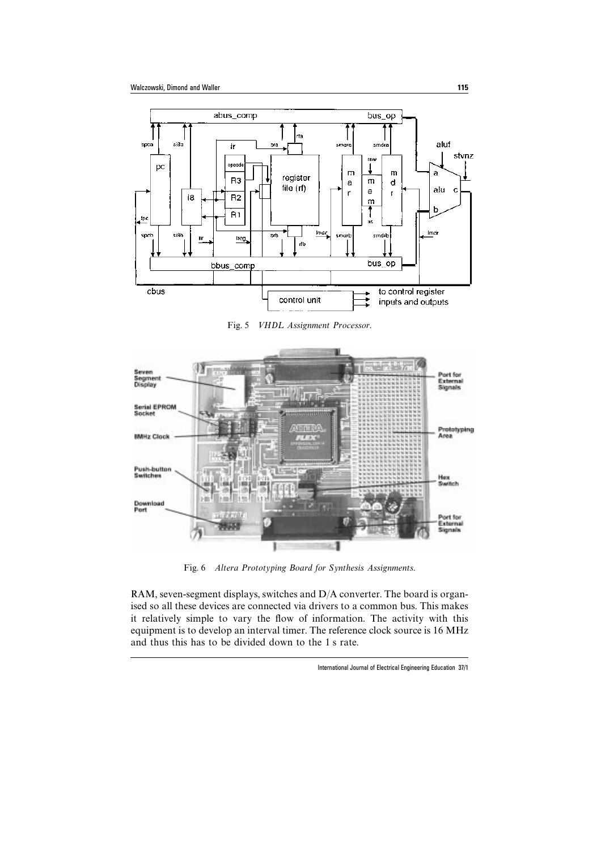

Fig. 5 VHDL Assignment Processor.



Fig. 6 Altera Prototyping Board for Synthesis Assignments.

RAM, seven-segment displays, switches and D/A converter. The board is organised so all these devices are connected via drivers to a common bus. This makes it relatively simple to vary the flow of information. The activity with this equipment is to develop an interval timer. The reference clock source is 16 MHz and thus this has to be divided down to the 1 s rate.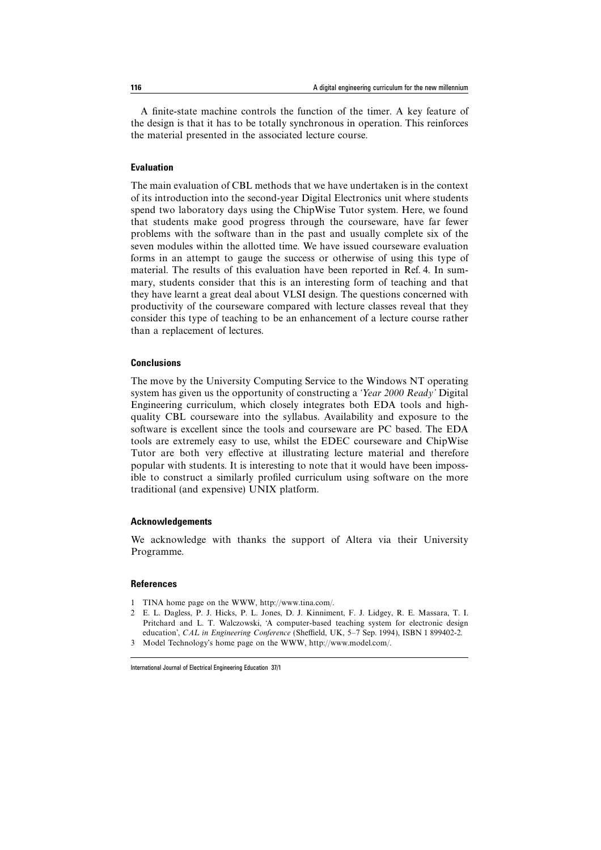A finite-state machine controls the function of the timer. A key feature of the design is that it has to be totally synchronous in operation. This reinforces the material presented in the associated lecture course.

## **Evaluation**

The main evaluation of CBL methods that we have undertaken is in the context of its introduction into the second-year Digital Electronics unit where students spend two laboratory days using the ChipWise Tutor system. Here, we found that students make good progress through the courseware, have far fewer problems with the software than in the past and usually complete six of the seven modules within the allotted time. We have issued courseware evaluation forms in an attempt to gauge the success or otherwise of using this type of material. The results of this evaluation have been reported in Ref. 4. In summary, students consider that this is an interesting form of teaching and that they have learnt a great deal about VLSI design. The questions concerned with productivity of the courseware compared with lecture classes reveal that they consider this type of teaching to be an enhancement of a lecture course rather than a replacement of lectures.

## **Conclusions**

The move by the University Computing Service to the Windows NT operating system has given us the opportunity of constructing a 'Year 2000 Ready' Digital Engineering curriculum, which closely integrates both EDA tools and highquality CBL courseware into the syllabus. Availability and exposure to the software is excellent since the tools and courseware are PC based. The EDA tools are extremely easy to use, whilst the EDEC courseware and ChipWise Tutor are both very effective at illustrating lecture material and therefore popular with students. It is interesting to note that it would have been impossible to construct a similarly profiled curriculum using software on the more traditional (and expensive) UNIX platform.

#### **Acknowledgements**

We acknowledge with thanks the support of Altera via their University Programme.

#### **References**

- 1 TINA home page on the WWW, http://www.tina.com/.
- 2 E. L. Dagless, P. J. Hicks, P. L. Jones, D. J. Kinniment, F. J. Lidgey, R. E. Massara, T. I. Pritchard and L. T. Walczowski, 'A computer-based teaching system for electronic design education', CAL in Engineering Conference (Sheffield, UK, 5–7 Sep. 1994), ISBN 1 899402-2.
- 3 Model Technology's home page on the WWW, http://www.model.com/.